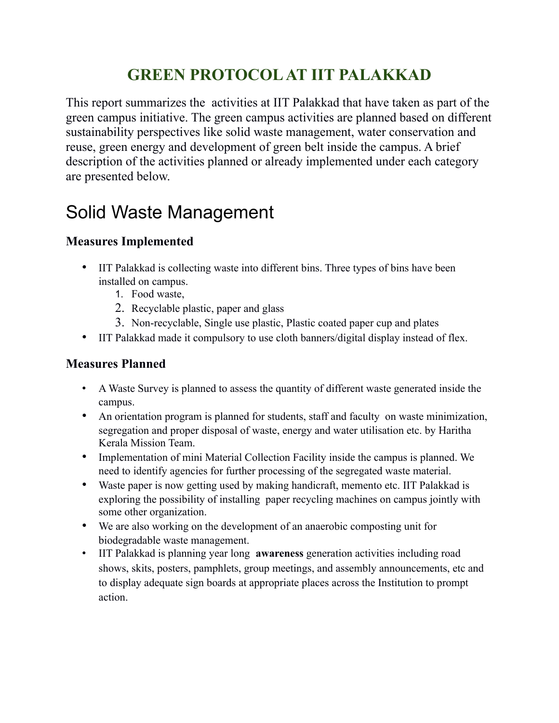## **GREEN PROTOCOL AT IIT PALAKKAD**

This report summarizes the activities at IIT Palakkad that have taken as part of the green campus initiative. The green campus activities are planned based on different sustainability perspectives like solid waste management, water conservation and reuse, green energy and development of green belt inside the campus. A brief description of the activities planned or already implemented under each category are presented below.

# Solid Waste Management

### **Measures Implemented**

- IIT Palakkad is collecting waste into different bins. Three types of bins have been installed on campus.
	- 1. Food waste,
	- 2. Recyclable plastic, paper and glass
	- 3. Non-recyclable, Single use plastic, Plastic coated paper cup and plates
- IIT Palakkad made it compulsory to use cloth banners/digital display instead of flex.

### **Measures Planned**

- A Waste Survey is planned to assess the quantity of different waste generated inside the campus.
- An orientation program is planned for students, staff and faculty on waste minimization, segregation and proper disposal of waste, energy and water utilisation etc. by Haritha Kerala Mission Team.
- Implementation of mini Material Collection Facility inside the campus is planned. We need to identify agencies for further processing of the segregated waste material.
- Waste paper is now getting used by making handicraft, memento etc. IIT Palakkad is exploring the possibility of installing paper recycling machines on campus jointly with some other organization.
- We are also working on the development of an anaerobic composting unit for biodegradable waste management.
- IIT Palakkad is planning year long **awareness** generation activities including road shows, skits, posters, pamphlets, group meetings, and assembly announcements, etc and to display adequate sign boards at appropriate places across the Institution to prompt action.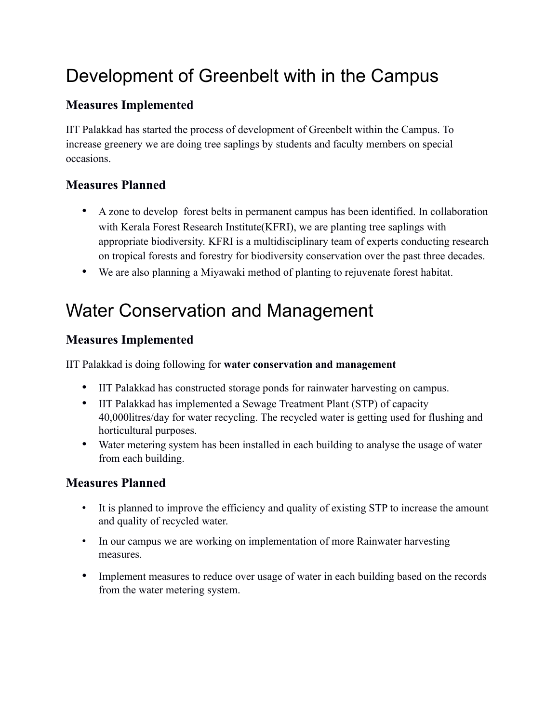# Development of Greenbelt with in the Campus

### **Measures Implemented**

IIT Palakkad has started the process of development of Greenbelt within the Campus. To increase greenery we are doing tree saplings by students and faculty members on special occasions.

#### **Measures Planned**

- A zone to develop forest belts in permanent campus has been identified. In collaboration with Kerala Forest Research Institute(KFRI), we are planting tree saplings with appropriate biodiversity. KFRI is a multidisciplinary team of experts conducting research on tropical forests and forestry for biodiversity conservation over the past three decades.
- We are also planning a Miyawaki method of planting to rejuvenate forest habitat.

# Water Conservation and Management

#### **Measures Implemented**

IIT Palakkad is doing following for **water conservation and management**

- IIT Palakkad has constructed storage ponds for rainwater harvesting on campus.
- IIT Palakkad has implemented a Sewage Treatment Plant (STP) of capacity 40,000litres/day for water recycling. The recycled water is getting used for flushing and horticultural purposes.
- Water metering system has been installed in each building to analyse the usage of water from each building.

#### **Measures Planned**

- It is planned to improve the efficiency and quality of existing STP to increase the amount and quality of recycled water.
- In our campus we are working on implementation of more Rainwater harvesting measures.
- Implement measures to reduce over usage of water in each building based on the records from the water metering system.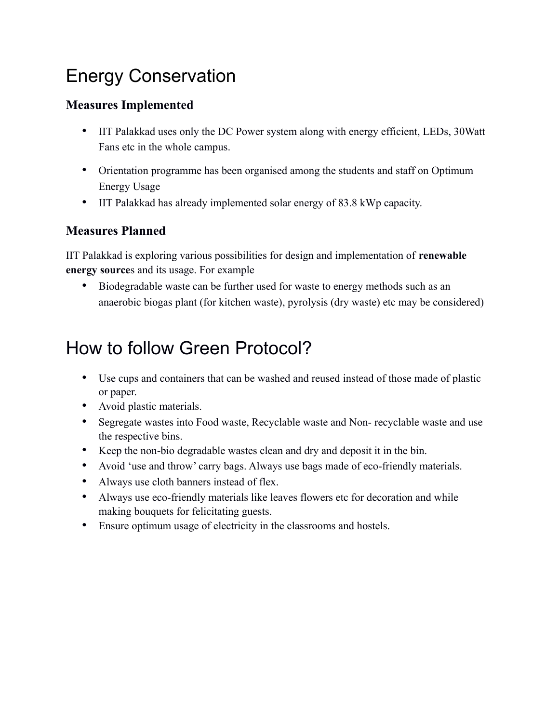# Energy Conservation

## **Measures Implemented**

- IIT Palakkad uses only the DC Power system along with energy efficient, LEDs, 30Watt Fans etc in the whole campus.
- Orientation programme has been organised among the students and staff on Optimum Energy Usage
- IIT Palakkad has already implemented solar energy of 83.8 kWp capacity.

## **Measures Planned**

IIT Palakkad is exploring various possibilities for design and implementation of **renewable energy source**s and its usage. For example

• Biodegradable waste can be further used for waste to energy methods such as an anaerobic biogas plant (for kitchen waste), pyrolysis (dry waste) etc may be considered)

# How to follow Green Protocol?

- Use cups and containers that can be washed and reused instead of those made of plastic or paper.
- Avoid plastic materials.
- Segregate wastes into Food waste, Recyclable waste and Non- recyclable waste and use the respective bins.
- Keep the non-bio degradable wastes clean and dry and deposit it in the bin.
- Avoid 'use and throw' carry bags. Always use bags made of eco-friendly materials.
- Always use cloth banners instead of flex.
- Always use eco-friendly materials like leaves flowers etc for decoration and while making bouquets for felicitating guests.
- Ensure optimum usage of electricity in the classrooms and hostels.